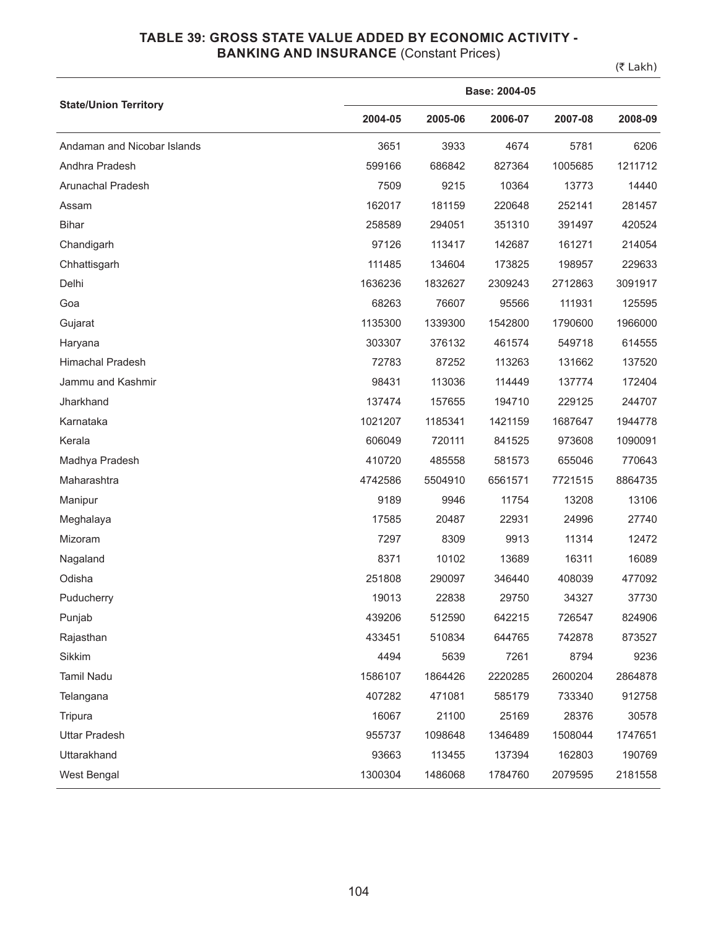### **TABLE 39: GROSS STATE VALUE ADDED BY ECONOMIC ACTIVITY - BANKING AND INSURANCE (Constant Prices)**

(₹ Lakh)

|                              | Base: 2004-05 |         |         |         |         |  |  |
|------------------------------|---------------|---------|---------|---------|---------|--|--|
| <b>State/Union Territory</b> | 2004-05       | 2005-06 | 2006-07 | 2007-08 | 2008-09 |  |  |
| Andaman and Nicobar Islands  | 3651          | 3933    | 4674    | 5781    | 6206    |  |  |
| Andhra Pradesh               | 599166        | 686842  | 827364  | 1005685 | 1211712 |  |  |
| Arunachal Pradesh            | 7509          | 9215    | 10364   | 13773   | 14440   |  |  |
| Assam                        | 162017        | 181159  | 220648  | 252141  | 281457  |  |  |
| <b>Bihar</b>                 | 258589        | 294051  | 351310  | 391497  | 420524  |  |  |
| Chandigarh                   | 97126         | 113417  | 142687  | 161271  | 214054  |  |  |
| Chhattisgarh                 | 111485        | 134604  | 173825  | 198957  | 229633  |  |  |
| Delhi                        | 1636236       | 1832627 | 2309243 | 2712863 | 3091917 |  |  |
| Goa                          | 68263         | 76607   | 95566   | 111931  | 125595  |  |  |
| Gujarat                      | 1135300       | 1339300 | 1542800 | 1790600 | 1966000 |  |  |
| Haryana                      | 303307        | 376132  | 461574  | 549718  | 614555  |  |  |
| <b>Himachal Pradesh</b>      | 72783         | 87252   | 113263  | 131662  | 137520  |  |  |
| Jammu and Kashmir            | 98431         | 113036  | 114449  | 137774  | 172404  |  |  |
| Jharkhand                    | 137474        | 157655  | 194710  | 229125  | 244707  |  |  |
| Karnataka                    | 1021207       | 1185341 | 1421159 | 1687647 | 1944778 |  |  |
| Kerala                       | 606049        | 720111  | 841525  | 973608  | 1090091 |  |  |
| Madhya Pradesh               | 410720        | 485558  | 581573  | 655046  | 770643  |  |  |
| Maharashtra                  | 4742586       | 5504910 | 6561571 | 7721515 | 8864735 |  |  |
| Manipur                      | 9189          | 9946    | 11754   | 13208   | 13106   |  |  |
| Meghalaya                    | 17585         | 20487   | 22931   | 24996   | 27740   |  |  |
| Mizoram                      | 7297          | 8309    | 9913    | 11314   | 12472   |  |  |
| Nagaland                     | 8371          | 10102   | 13689   | 16311   | 16089   |  |  |
| Odisha                       | 251808        | 290097  | 346440  | 408039  | 477092  |  |  |
| Puducherry                   | 19013         | 22838   | 29750   | 34327   | 37730   |  |  |
| Punjab                       | 439206        | 512590  | 642215  | 726547  | 824906  |  |  |
| Rajasthan                    | 433451        | 510834  | 644765  | 742878  | 873527  |  |  |
| Sikkim                       | 4494          | 5639    | 7261    | 8794    | 9236    |  |  |
| Tamil Nadu                   | 1586107       | 1864426 | 2220285 | 2600204 | 2864878 |  |  |
| Telangana                    | 407282        | 471081  | 585179  | 733340  | 912758  |  |  |
| Tripura                      | 16067         | 21100   | 25169   | 28376   | 30578   |  |  |
| <b>Uttar Pradesh</b>         | 955737        | 1098648 | 1346489 | 1508044 | 1747651 |  |  |
| Uttarakhand                  | 93663         | 113455  | 137394  | 162803  | 190769  |  |  |
| West Bengal                  | 1300304       | 1486068 | 1784760 | 2079595 | 2181558 |  |  |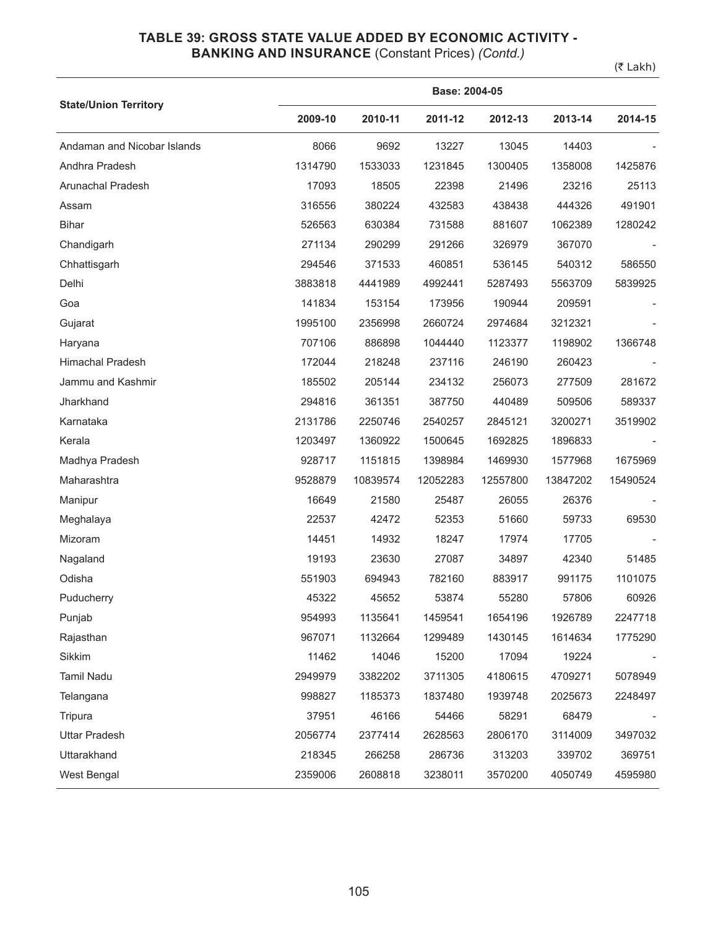# **TABLE 39: GROSS STATE VALUE ADDED BY ECONOMIC ACTIVITY -**

## **BANKING AND INSURANCE** (Constant Prices) *(Contd.)*

(₹ Lakh)

|                              |         | Base: 2004-05 |          |          |          |          |  |  |  |
|------------------------------|---------|---------------|----------|----------|----------|----------|--|--|--|
| <b>State/Union Territory</b> | 2009-10 | 2010-11       | 2011-12  | 2012-13  | 2013-14  | 2014-15  |  |  |  |
| Andaman and Nicobar Islands  | 8066    | 9692          | 13227    | 13045    | 14403    |          |  |  |  |
| Andhra Pradesh               | 1314790 | 1533033       | 1231845  | 1300405  | 1358008  | 1425876  |  |  |  |
| Arunachal Pradesh            | 17093   | 18505         | 22398    | 21496    | 23216    | 25113    |  |  |  |
| Assam                        | 316556  | 380224        | 432583   | 438438   | 444326   | 491901   |  |  |  |
| <b>Bihar</b>                 | 526563  | 630384        | 731588   | 881607   | 1062389  | 1280242  |  |  |  |
| Chandigarh                   | 271134  | 290299        | 291266   | 326979   | 367070   |          |  |  |  |
| Chhattisgarh                 | 294546  | 371533        | 460851   | 536145   | 540312   | 586550   |  |  |  |
| Delhi                        | 3883818 | 4441989       | 4992441  | 5287493  | 5563709  | 5839925  |  |  |  |
| Goa                          | 141834  | 153154        | 173956   | 190944   | 209591   |          |  |  |  |
| Gujarat                      | 1995100 | 2356998       | 2660724  | 2974684  | 3212321  |          |  |  |  |
| Haryana                      | 707106  | 886898        | 1044440  | 1123377  | 1198902  | 1366748  |  |  |  |
| <b>Himachal Pradesh</b>      | 172044  | 218248        | 237116   | 246190   | 260423   |          |  |  |  |
| Jammu and Kashmir            | 185502  | 205144        | 234132   | 256073   | 277509   | 281672   |  |  |  |
| Jharkhand                    | 294816  | 361351        | 387750   | 440489   | 509506   | 589337   |  |  |  |
| Karnataka                    | 2131786 | 2250746       | 2540257  | 2845121  | 3200271  | 3519902  |  |  |  |
| Kerala                       | 1203497 | 1360922       | 1500645  | 1692825  | 1896833  |          |  |  |  |
| Madhya Pradesh               | 928717  | 1151815       | 1398984  | 1469930  | 1577968  | 1675969  |  |  |  |
| Maharashtra                  | 9528879 | 10839574      | 12052283 | 12557800 | 13847202 | 15490524 |  |  |  |
| Manipur                      | 16649   | 21580         | 25487    | 26055    | 26376    |          |  |  |  |
| Meghalaya                    | 22537   | 42472         | 52353    | 51660    | 59733    | 69530    |  |  |  |
| Mizoram                      | 14451   | 14932         | 18247    | 17974    | 17705    |          |  |  |  |
| Nagaland                     | 19193   | 23630         | 27087    | 34897    | 42340    | 51485    |  |  |  |
| Odisha                       | 551903  | 694943        | 782160   | 883917   | 991175   | 1101075  |  |  |  |
| Puducherry                   | 45322   | 45652         | 53874    | 55280    | 57806    | 60926    |  |  |  |
| Punjab                       | 954993  | 1135641       | 1459541  | 1654196  | 1926789  | 2247718  |  |  |  |
| Rajasthan                    | 967071  | 1132664       | 1299489  | 1430145  | 1614634  | 1775290  |  |  |  |
| Sikkim                       | 11462   | 14046         | 15200    | 17094    | 19224    |          |  |  |  |
| Tamil Nadu                   | 2949979 | 3382202       | 3711305  | 4180615  | 4709271  | 5078949  |  |  |  |
| Telangana                    | 998827  | 1185373       | 1837480  | 1939748  | 2025673  | 2248497  |  |  |  |
| Tripura                      | 37951   | 46166         | 54466    | 58291    | 68479    |          |  |  |  |
| <b>Uttar Pradesh</b>         | 2056774 | 2377414       | 2628563  | 2806170  | 3114009  | 3497032  |  |  |  |
| Uttarakhand                  | 218345  | 266258        | 286736   | 313203   | 339702   | 369751   |  |  |  |
| West Bengal                  | 2359006 | 2608818       | 3238011  | 3570200  | 4050749  | 4595980  |  |  |  |